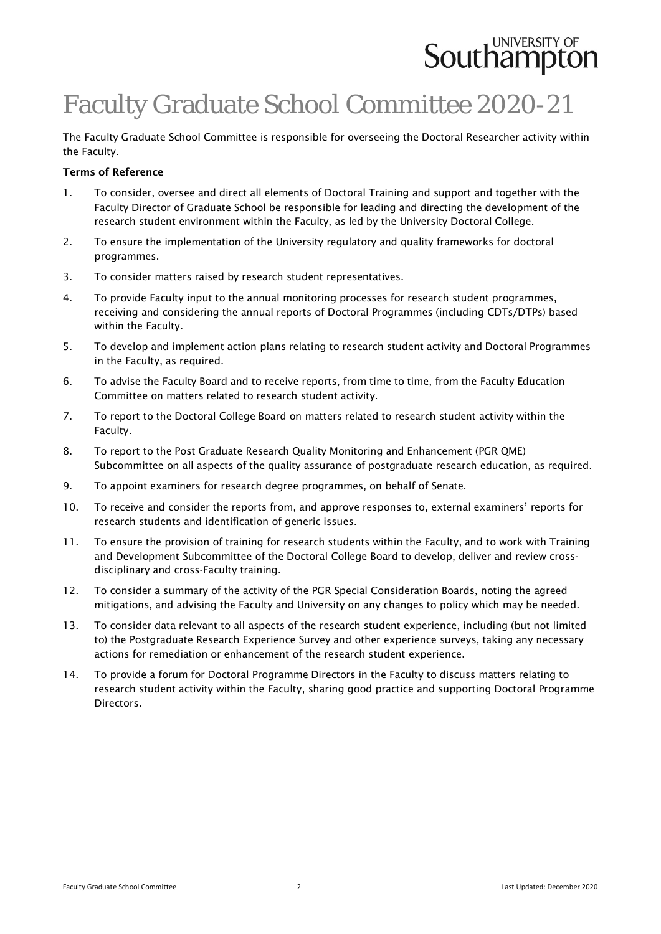# **Southampton**

# Faculty Graduate School Committee 2020-21

The Faculty Graduate School Committee is responsible for overseeing the Doctoral Researcher activity within the Faculty.

### Terms of Reference

- 1. To consider, oversee and direct all elements of Doctoral Training and support and together with the Faculty Director of Graduate School be responsible for leading and directing the development of the research student environment within the Faculty, as led by the University Doctoral College.
- 2. To ensure the implementation of the University regulatory and quality frameworks for doctoral programmes.
- 3. To consider matters raised by research student representatives.
- 4. To provide Faculty input to the annual monitoring processes for research student programmes, receiving and considering the annual reports of Doctoral Programmes (including CDTs/DTPs) based within the Faculty.
- 5. To develop and implement action plans relating to research student activity and Doctoral Programmes in the Faculty, as required.
- 6. To advise the Faculty Board and to receive reports, from time to time, from the Faculty Education Committee on matters related to research student activity.
- 7. To report to the Doctoral College Board on matters related to research student activity within the Faculty.
- 8. To report to the Post Graduate Research Quality Monitoring and Enhancement (PGR QME) Subcommittee on all aspects of the quality assurance of postgraduate research education, as required.
- 9. To appoint examiners for research degree programmes, on behalf of Senate.
- 10. To receive and consider the reports from, and approve responses to, external examiners' reports for research students and identification of generic issues.
- 11. To ensure the provision of training for research students within the Faculty, and to work with Training and Development Subcommittee of the Doctoral College Board to develop, deliver and review crossdisciplinary and cross-Faculty training.
- 12. To consider a summary of the activity of the PGR Special Consideration Boards, noting the agreed mitigations, and advising the Faculty and University on any changes to policy which may be needed.
- 13. To consider data relevant to all aspects of the research student experience, including (but not limited to) the Postgraduate Research Experience Survey and other experience surveys, taking any necessary actions for remediation or enhancement of the research student experience.
- 14. To provide a forum for Doctoral Programme Directors in the Faculty to discuss matters relating to research student activity within the Faculty, sharing good practice and supporting Doctoral Programme Directors.